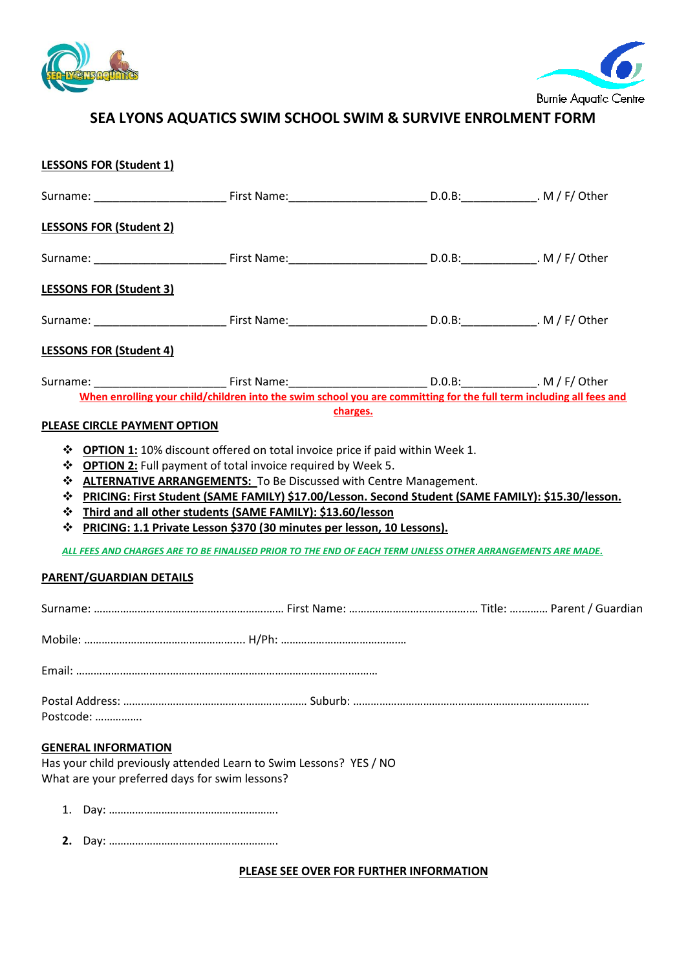



# **SEA LYONS AQUATICS SWIM SCHOOL SWIM & SURVIVE ENROLMENT FORM**

# **LESSONS FOR (Student 1)**

| <b>LESSONS FOR (Student 2)</b>                                               |                                                                                                                                                                                                                                                                                                                                                                                                                                     |  |
|------------------------------------------------------------------------------|-------------------------------------------------------------------------------------------------------------------------------------------------------------------------------------------------------------------------------------------------------------------------------------------------------------------------------------------------------------------------------------------------------------------------------------|--|
|                                                                              |                                                                                                                                                                                                                                                                                                                                                                                                                                     |  |
| <b>LESSONS FOR (Student 3)</b>                                               |                                                                                                                                                                                                                                                                                                                                                                                                                                     |  |
|                                                                              |                                                                                                                                                                                                                                                                                                                                                                                                                                     |  |
| <b>LESSONS FOR (Student 4)</b>                                               |                                                                                                                                                                                                                                                                                                                                                                                                                                     |  |
|                                                                              | Surname: ___________________________________First Name:___________________________________D.0.B:_____________. M / F/ Other<br>When enrolling your child/children into the swim school you are committing for the full term including all fees and                                                                                                                                                                                  |  |
|                                                                              | charges.                                                                                                                                                                                                                                                                                                                                                                                                                            |  |
| PLEASE CIRCLE PAYMENT OPTION                                                 |                                                                                                                                                                                                                                                                                                                                                                                                                                     |  |
| ❖<br>PARENT/GUARDIAN DETAILS                                                 | * ALTERNATIVE ARRANGEMENTS: To Be Discussed with Centre Management.<br>* PRICING: First Student (SAME FAMILY) \$17.00/Lesson. Second Student (SAME FAMILY): \$15.30/lesson.<br>❖ Third and all other students (SAME FAMILY): \$13.60/lesson<br>PRICING: 1.1 Private Lesson \$370 (30 minutes per lesson, 10 Lessons).<br>ALL FEES AND CHARGES ARE TO BE FINALISED PRIOR TO THE END OF EACH TERM UNLESS OTHER ARRANGEMENTS ARE MADE. |  |
|                                                                              |                                                                                                                                                                                                                                                                                                                                                                                                                                     |  |
|                                                                              |                                                                                                                                                                                                                                                                                                                                                                                                                                     |  |
|                                                                              |                                                                                                                                                                                                                                                                                                                                                                                                                                     |  |
| Postcode:                                                                    |                                                                                                                                                                                                                                                                                                                                                                                                                                     |  |
| <b>GENERAL INFORMATION</b><br>What are your preferred days for swim lessons? | Has your child previously attended Learn to Swim Lessons? YES / NO                                                                                                                                                                                                                                                                                                                                                                  |  |
| 1.                                                                           |                                                                                                                                                                                                                                                                                                                                                                                                                                     |  |

**2.** Day: ………………………………………………….

**PLEASE SEE OVER FOR FURTHER INFORMATION**